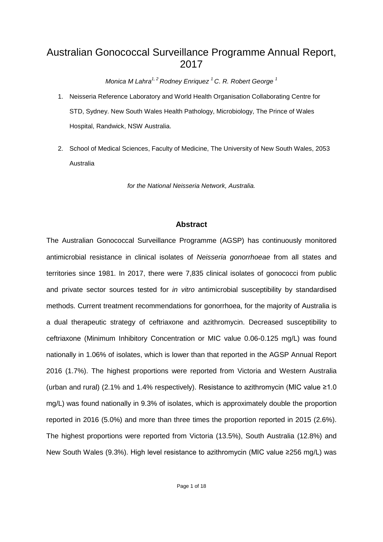# Australian Gonococcal Surveillance Programme Annual Report, 2017

*Monica M Lahra1, 2 Rodney Enriquez 1 C. R. Robert George 1*

- 1. Neisseria Reference Laboratory and World Health Organisation Collaborating Centre for STD, Sydney. New South Wales Health Pathology, Microbiology, The Prince of Wales Hospital, Randwick, NSW Australia.
- 2. School of Medical Sciences, Faculty of Medicine, The University of New South Wales, 2053 Australia

*for the National Neisseria Network, Australia.*

# **Abstract**

The Australian Gonococcal Surveillance Programme (AGSP) has continuously monitored antimicrobial resistance in clinical isolates of *Neisseria gonorrhoeae* from all states and territories since 1981. In 2017, there were 7,835 clinical isolates of gonococci from public and private sector sources tested for *in vitro* antimicrobial susceptibility by standardised methods. Current treatment recommendations for gonorrhoea, for the majority of Australia is a dual therapeutic strategy of ceftriaxone and azithromycin. Decreased susceptibility to ceftriaxone (Minimum Inhibitory Concentration or MIC value 0.06-0.125 mg/L) was found nationally in 1.06% of isolates, which is lower than that reported in the AGSP Annual Report 2016 (1.7%). The highest proportions were reported from Victoria and Western Australia (urban and rural) (2.1% and 1.4% respectively). Resistance to azithromycin (MIC value ≥1.0 mg/L) was found nationally in 9.3% of isolates, which is approximately double the proportion reported in 2016 (5.0%) and more than three times the proportion reported in 2015 (2.6%). The highest proportions were reported from Victoria (13.5%), South Australia (12.8%) and New South Wales (9.3%). High level resistance to azithromycin (MIC value ≥256 mg/L) was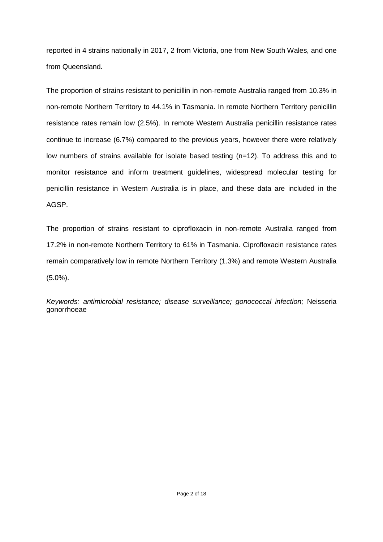reported in 4 strains nationally in 2017, 2 from Victoria, one from New South Wales, and one from Queensland.

The proportion of strains resistant to penicillin in non-remote Australia ranged from 10.3% in non-remote Northern Territory to 44.1% in Tasmania. In remote Northern Territory penicillin resistance rates remain low (2.5%). In remote Western Australia penicillin resistance rates continue to increase (6.7%) compared to the previous years, however there were relatively low numbers of strains available for isolate based testing (n=12). To address this and to monitor resistance and inform treatment guidelines, widespread molecular testing for penicillin resistance in Western Australia is in place, and these data are included in the AGSP.

The proportion of strains resistant to ciprofloxacin in non-remote Australia ranged from 17.2% in non-remote Northern Territory to 61% in Tasmania. Ciprofloxacin resistance rates remain comparatively low in remote Northern Territory (1.3%) and remote Western Australia (5.0%).

*Keywords: antimicrobial resistance; disease surveillance; gonococcal infection;* Neisseria gonorrhoeae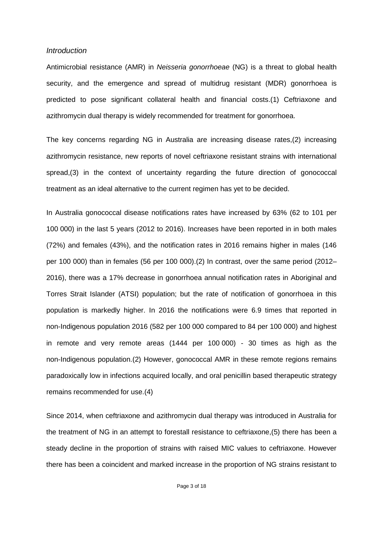#### *Introduction*

Antimicrobial resistance (AMR) in *Neisseria gonorrhoeae* (NG) is a threat to global health security, and the emergence and spread of multidrug resistant (MDR) gonorrhoea is predicted to pose significant collateral health and financial costs.(1) Ceftriaxone and azithromycin dual therapy is widely recommended for treatment for gonorrhoea.

The key concerns regarding NG in Australia are increasing disease rates,(2) increasing azithromycin resistance, new reports of novel ceftriaxone resistant strains with international spread,(3) in the context of uncertainty regarding the future direction of gonococcal treatment as an ideal alternative to the current regimen has yet to be decided.

In Australia gonococcal disease notifications rates have increased by 63% (62 to 101 per 100 000) in the last 5 years (2012 to 2016). Increases have been reported in in both males (72%) and females (43%), and the notification rates in 2016 remains higher in males (146 per 100 000) than in females (56 per 100 000).(2) In contrast, over the same period (2012– 2016), there was a 17% decrease in gonorrhoea annual notification rates in Aboriginal and Torres Strait Islander (ATSI) population; but the rate of notification of gonorrhoea in this population is markedly higher. In 2016 the notifications were 6.9 times that reported in non-Indigenous population 2016 (582 per 100 000 compared to 84 per 100 000) and highest in remote and very remote areas (1444 per 100 000) *-* 30 times as high as the non-Indigenous population.(2) However, gonococcal AMR in these remote regions remains paradoxically low in infections acquired locally, and oral penicillin based therapeutic strategy remains recommended for use.(4)

Since 2014, when ceftriaxone and azithromycin dual therapy was introduced in Australia for the treatment of NG in an attempt to forestall resistance to ceftriaxone,(5) there has been a steady decline in the proportion of strains with raised MIC values to ceftriaxone. However there has been a coincident and marked increase in the proportion of NG strains resistant to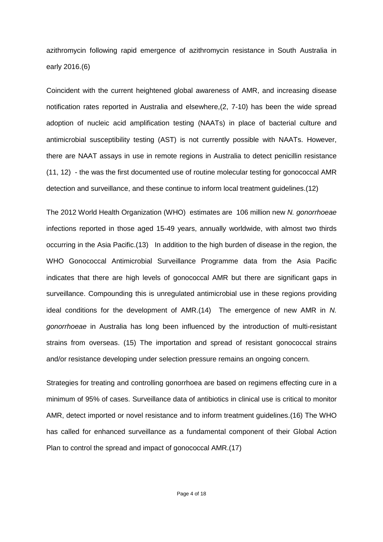azithromycin following rapid emergence of azithromycin resistance in South Australia in early 2016.(6)

Coincident with the current heightened global awareness of AMR, and increasing disease notification rates reported in Australia and elsewhere,(2, 7-10) has been the wide spread adoption of nucleic acid amplification testing (NAATs) in place of bacterial culture and antimicrobial susceptibility testing (AST) is not currently possible with NAATs. However, there are NAAT assays in use in remote regions in Australia to detect penicillin resistance (11, 12) - the was the first documented use of routine molecular testing for gonococcal AMR detection and surveillance, and these continue to inform local treatment guidelines.(12)

The 2012 World Health Organization (WHO) estimates are 106 million new *N. gonorrhoeae* infections reported in those aged 15-49 years, annually worldwide, with almost two thirds occurring in the Asia Pacific.(13) In addition to the high burden of disease in the region, the WHO Gonococcal Antimicrobial Surveillance Programme data from the Asia Pacific indicates that there are high levels of gonococcal AMR but there are significant gaps in surveillance. Compounding this is unregulated antimicrobial use in these regions providing ideal conditions for the development of AMR.(14) The emergence of new AMR in *N. gonorrhoeae* in Australia has long been influenced by the introduction of multi-resistant strains from overseas. (15) The importation and spread of resistant gonococcal strains and/or resistance developing under selection pressure remains an ongoing concern.

Strategies for treating and controlling gonorrhoea are based on regimens effecting cure in a minimum of 95% of cases. Surveillance data of antibiotics in clinical use is critical to monitor AMR, detect imported or novel resistance and to inform treatment guidelines.(16) The WHO has called for enhanced surveillance as a fundamental component of their Global Action Plan to control the spread and impact of gonococcal AMR.(17)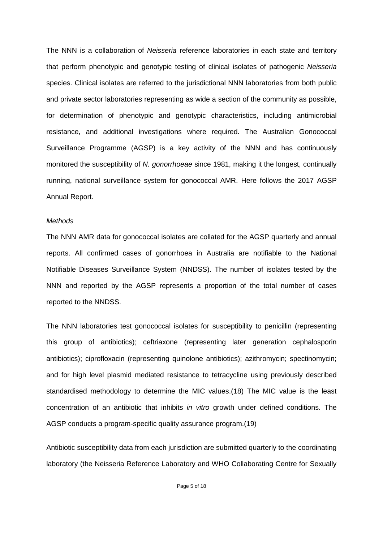The NNN is a collaboration of *Neisseria* reference laboratories in each state and territory that perform phenotypic and genotypic testing of clinical isolates of pathogenic *Neisseria*  species. Clinical isolates are referred to the jurisdictional NNN laboratories from both public and private sector laboratories representing as wide a section of the community as possible, for determination of phenotypic and genotypic characteristics, including antimicrobial resistance, and additional investigations where required. The Australian Gonococcal Surveillance Programme (AGSP) is a key activity of the NNN and has continuously monitored the susceptibility of *N. gonorrhoeae* since 1981, making it the longest, continually running, national surveillance system for gonococcal AMR. Here follows the 2017 AGSP Annual Report.

#### *Methods*

The NNN AMR data for gonococcal isolates are collated for the AGSP quarterly and annual reports. All confirmed cases of gonorrhoea in Australia are notifiable to the National Notifiable Diseases Surveillance System (NNDSS). The number of isolates tested by the NNN and reported by the AGSP represents a proportion of the total number of cases reported to the NNDSS.

The NNN laboratories test gonococcal isolates for susceptibility to penicillin (representing this group of antibiotics); ceftriaxone (representing later generation cephalosporin antibiotics); ciprofloxacin (representing quinolone antibiotics); azithromycin; spectinomycin; and for high level plasmid mediated resistance to tetracycline using previously described standardised methodology to determine the MIC values.(18) The MIC value is the least concentration of an antibiotic that inhibits *in vitro* growth under defined conditions. The AGSP conducts a program-specific quality assurance program.(19)

Antibiotic susceptibility data from each jurisdiction are submitted quarterly to the coordinating laboratory (the Neisseria Reference Laboratory and WHO Collaborating Centre for Sexually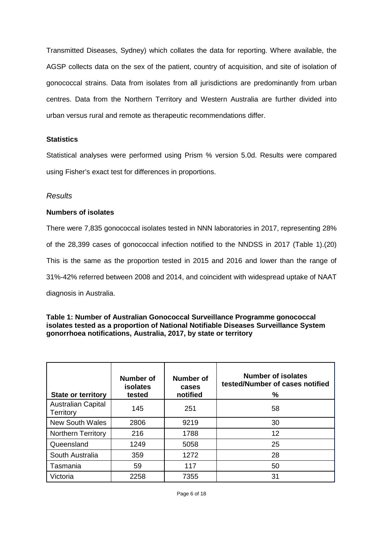Transmitted Diseases, Sydney) which collates the data for reporting. Where available, the AGSP collects data on the sex of the patient, country of acquisition, and site of isolation of gonococcal strains. Data from isolates from all jurisdictions are predominantly from urban centres. Data from the Northern Territory and Western Australia are further divided into urban versus rural and remote as therapeutic recommendations differ.

### **Statistics**

Statistical analyses were performed using Prism % version 5.0d. Results were compared using Fisher's exact test for differences in proportions.

### *Results*

### **Numbers of isolates**

There were 7,835 gonococcal isolates tested in NNN laboratories in 2017, representing 28% of the 28,399 cases of gonococcal infection notified to the NNDSS in 2017 (Table 1).(20) This is the same as the proportion tested in 2015 and 2016 and lower than the range of 31%-42% referred between 2008 and 2014, and coincident with widespread uptake of NAAT diagnosis in Australia.

#### **Table 1: Number of Australian Gonococcal Surveillance Programme gonococcal isolates tested as a proportion of National Notifiable Diseases Surveillance System gonorrhoea notifications, Australia, 2017, by state or territory**

| <b>State or territory</b>              | <b>Number of</b><br><b>isolates</b><br>tested | <b>Number of</b><br>cases<br>notified | <b>Number of isolates</b><br>tested/Number of cases notified<br>% |  |  |  |  |  |
|----------------------------------------|-----------------------------------------------|---------------------------------------|-------------------------------------------------------------------|--|--|--|--|--|
| <b>Australian Capital</b><br>Territory | 145                                           | 251                                   | 58                                                                |  |  |  |  |  |
| <b>New South Wales</b>                 | 2806                                          | 9219                                  | 30                                                                |  |  |  |  |  |
| <b>Northern Territory</b>              | 216                                           | 1788                                  | 12                                                                |  |  |  |  |  |
| Queensland                             | 1249                                          | 5058                                  | 25                                                                |  |  |  |  |  |
| South Australia                        | 359                                           | 1272                                  | 28                                                                |  |  |  |  |  |
| Tasmania                               | 59                                            | 117                                   | 50                                                                |  |  |  |  |  |
| Victoria                               | 2258                                          | 7355                                  | 31                                                                |  |  |  |  |  |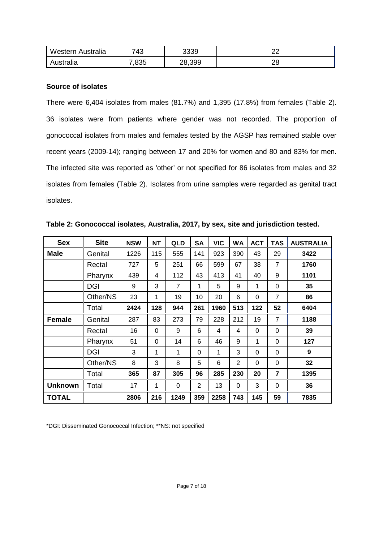| Western Australia | 743   | 3339   |    |
|-------------------|-------|--------|----|
| Australia         | 7,835 | 28,399 | دے |

### **Source of isolates**

There were 6,404 isolates from males (81.7%) and 1,395 (17.8%) from females (Table 2). 36 isolates were from patients where gender was not recorded. The proportion of gonococcal isolates from males and females tested by the AGSP has remained stable over recent years (2009-14); ranging between 17 and 20% for women and 80 and 83% for men. The infected site was reported as 'other' or not specified for 86 isolates from males and 32 isolates from females (Table 2). Isolates from urine samples were regarded as genital tract isolates.

| <b>Sex</b>     | <b>Site</b> | <b>NSW</b> | <b>NT</b> | QLD            | <b>SA</b>      | <b>VIC</b> | <b>WA</b>      | <b>ACT</b> | <b>TAS</b>     | <b>AUSTRALIA</b> |
|----------------|-------------|------------|-----------|----------------|----------------|------------|----------------|------------|----------------|------------------|
| <b>Male</b>    | Genital     | 1226       | 115       | 555            | 141            | 923        | 390            | 43         | 29             | 3422             |
|                | Rectal      | 727        | 5         | 251            | 66             | 599        | 67             | 38         | $\overline{7}$ | 1760             |
|                | Pharynx     | 439        | 4         | 112            | 43             | 413        | 41             | 40         | 9              | 1101             |
|                | DGI         | 9          | 3         | $\overline{7}$ | 1              | 5          | 9              | 1          | $\Omega$       | 35               |
|                | Other/NS    | 23         | 1         | 19             | 10             | 20         | 6              | $\Omega$   | $\overline{7}$ | 86               |
|                | Total       | 2424       | 128       | 944            | 261            | 1960       | 513            | 122        | 52             | 6404             |
| <b>Female</b>  | Genital     | 287        | 83        | 273            | 79             | 228        | 212            | 19         | $\overline{7}$ | 1188             |
|                | Rectal      | 16         | $\Omega$  | 9              | 6              | 4          | 4              | $\Omega$   | $\Omega$       | 39               |
|                | Pharynx     | 51         | $\Omega$  | 14             | 6              | 46         | 9              | 1          | 0              | 127              |
|                | <b>DGI</b>  | 3          | 1         | 1              | $\Omega$       | 1          | 3              | $\Omega$   | 0              | 9                |
|                | Other/NS    | 8          | 3         | 8              | 5              | 6          | $\overline{2}$ | $\Omega$   | $\Omega$       | 32               |
|                | Total       | 365        | 87        | 305            | 96             | 285        | 230            | 20         | $\overline{7}$ | 1395             |
| <b>Unknown</b> | Total       | 17         | 1         | $\Omega$       | $\overline{2}$ | 13         | 0              | 3          | $\Omega$       | 36               |
| <b>TOTAL</b>   |             | 2806       | 216       | 1249           | 359            | 2258       | 743            | 145        | 59             | 7835             |

**Table 2: Gonococcal isolates, Australia, 2017, by sex, site and jurisdiction tested.**

\*DGI: Disseminated Gonococcal Infection; \*\*NS: not specified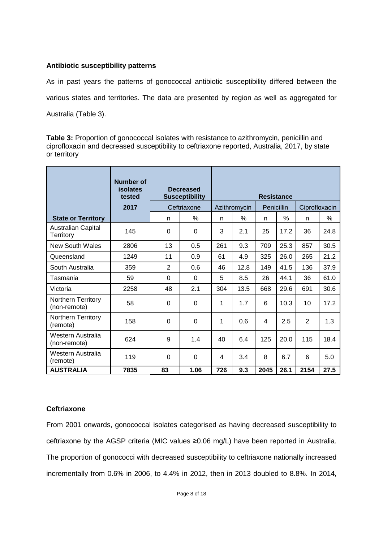### **Antibiotic susceptibility patterns**

As in past years the patterns of gonococcal antibiotic susceptibility differed between the various states and territories. The data are presented by region as well as aggregated for Australia (Table 3).

**Table 3:** Proportion of gonococcal isolates with resistance to azithromycin, penicillin and ciprofloxacin and decreased susceptibility to ceftriaxone reported, Australia, 2017, by state or territory

|                                    | <b>Number of</b><br>isolates<br>tested |          | <b>Decreased</b><br><b>Susceptibility</b> | <b>Resistance</b> |              |            |      |                |      |  |  |
|------------------------------------|----------------------------------------|----------|-------------------------------------------|-------------------|--------------|------------|------|----------------|------|--|--|
|                                    | 2017                                   |          | Ceftriaxone                               |                   | Azithromycin | Penicillin |      | Ciprofloxacin  |      |  |  |
| <b>State or Territory</b>          |                                        | n        | $\%$                                      | n                 | $\%$         | n          | $\%$ | n              | %    |  |  |
| Australian Capital<br>Territory    | 145                                    | $\Omega$ | 0                                         | 3                 | 2.1          | 25         | 17.2 | 36             | 24.8 |  |  |
| <b>New South Wales</b>             | 2806                                   | 13       | 0.5                                       | 261               | 9.3          | 709        | 25.3 | 857            | 30.5 |  |  |
| Queensland                         | 1249                                   | 11       | 0.9                                       | 61                | 4.9          | 325        | 26.0 | 265            | 21.2 |  |  |
| South Australia                    | 359                                    | 2        | 0.6                                       | 46                | 12.8         | 149        | 41.5 | 136            | 37.9 |  |  |
| Tasmania                           | 59                                     | $\Omega$ | $\Omega$                                  | 5                 | 8.5          | 26         | 44.1 | 36             | 61.0 |  |  |
| Victoria                           | 2258                                   | 48       | 2.1                                       | 304               | 13.5         | 668        | 29.6 | 691            | 30.6 |  |  |
| Northern Territory<br>(non-remote) | 58                                     | 0        | 0                                         | 1                 | 1.7          | 6          | 10.3 | 10             | 17.2 |  |  |
| Northern Territory<br>(remote)     | 158                                    | $\Omega$ | 0                                         | 1                 | 0.6          | 4          | 2.5  | $\overline{2}$ | 1.3  |  |  |
| Western Australia<br>(non-remote)  | 624                                    | 9        | 1.4                                       | 40                | 6.4          | 125        | 20.0 | 115            | 18.4 |  |  |
| Western Australia<br>(remote)      | 119                                    | $\Omega$ | 0                                         | 4                 | 3.4          | 8          | 6.7  | 6              | 5.0  |  |  |
| <b>AUSTRALIA</b>                   | 7835                                   | 83       | 1.06                                      | 726               | 9.3          | 2045       | 26.1 | 2154           | 27.5 |  |  |

# **Ceftriaxone**

From 2001 onwards, gonococcal isolates categorised as having decreased susceptibility to ceftriaxone by the AGSP criteria (MIC values ≥0.06 mg/L) have been reported in Australia. The proportion of gonococci with decreased susceptibility to ceftriaxone nationally increased incrementally from 0.6% in 2006, to 4.4% in 2012, then in 2013 doubled to 8.8%. In 2014,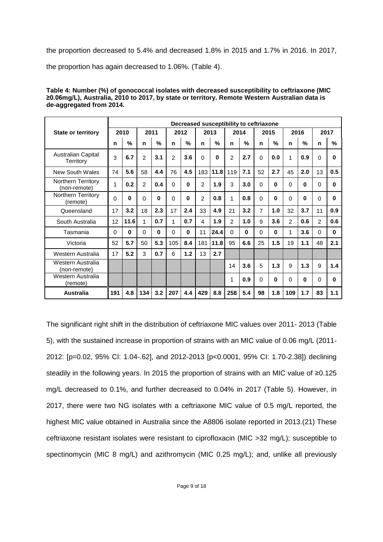the proportion decreased to 5.4% and decreased 1.8% in 2015 and 1.7% in 2016. In 2017,

the proportion has again decreased to 1.06%. (Table 4).

| Table 4: Number (%) of gonococcal isolates with decreased susceptibility to ceftriaxone (MIC  |
|-----------------------------------------------------------------------------------------------|
| ≥0.06mg/L), Australia, 2010 to 2017, by state or territory. Remote Western Australian data is |
| de-aggregated from 2014.                                                                      |

|                                        |          | Decreased susceptibility to ceftriaxone |          |               |                |               |          |               |          |               |                |               |                |               |                |               |
|----------------------------------------|----------|-----------------------------------------|----------|---------------|----------------|---------------|----------|---------------|----------|---------------|----------------|---------------|----------------|---------------|----------------|---------------|
| <b>State or territory</b>              |          | 2010                                    |          | 2011          |                | 2012          |          | 2013          |          | 2014          |                | 2015          |                | 2016          |                | 2017          |
|                                        | n        | %                                       | n        | $\frac{0}{n}$ | n              | $\frac{0}{2}$ | n        | $\frac{0}{2}$ | n        | $\frac{0}{n}$ | n              | $\frac{0}{2}$ | n              | $\frac{0}{2}$ | n              | $\frac{0}{n}$ |
| <b>Australian Capital</b><br>Territory | 3        | 6.7                                     | 2        | 3.1           | $\overline{c}$ | 3.6           | $\Omega$ | 0             | 2        | 2.7           | 0              | 0.0           | 1              | 0.9           | 0              | <sup>0</sup>  |
| <b>New South Wales</b>                 | 74       | 5.6                                     | 58       | 4.4           | 76             | 4.5           | 183      | 11.8          | 119      | 7.1           | 52             | 2.7           | 45             | 2.0           | 13             | 0.5           |
| Northern Territory<br>(non-remote)     | 1        | 0.2                                     | 2        | 0.4           | $\Omega$       | 0             | 2        | 1.9           | 3        | 3.0           | 0              | 0             | 0              | 0             | 0              | $\bf{0}$      |
| Northern Territory<br>(remote)         | $\Omega$ | 0                                       | 0        | $\bf{0}$      | $\Omega$       | 0             | 2        | 0.8           | 1        | 0.8           | $\Omega$       | 0             | $\Omega$       | 0             | $\Omega$       | 0             |
| Queensland                             | 17       | 3.2                                     | 18       | 2.3           | 17             | 2.4           | 33       | 4.9           | 21       | 3.2           | $\overline{7}$ | 1.0           | 32             | 3.7           | 11             | 0.9           |
| South Australia                        | 12       | 11.6                                    | 1        | 0.7           | 1              | 0.7           | 4        | 1.9           | 2        | 1.0           | 9              | 3.6           | $\overline{2}$ | 0.6           | $\overline{2}$ | 0.6           |
| Tasmania                               | $\Omega$ | 0                                       | $\Omega$ | $\Omega$      | $\Omega$       | $\bf{0}$      | 11       | 24.4          | $\Omega$ | $\Omega$      | $\Omega$       | 0             | 1              | 3.6           | $\Omega$       | $\Omega$      |
| Victoria                               | 52       | 5.7                                     | 50       | 5.3           | 105            | 8.4           | 181      | 11.8          | 95       | 6.6           | 25             | 1.5           | 19             | 1.1           | 48             | 2.1           |
| Western Australia                      | 17       | 5.2                                     | 3        | 0.7           | 6              | 1.2           | 13       | 2.7           |          |               |                |               |                |               |                |               |
| Western Australia<br>(non-remote)      |          |                                         |          |               |                |               |          |               | 14       | 3.6           | 5              | 1.3           | 9              | 1.3           | 9              | 1.4           |
| Western Australia<br>(remote)          |          |                                         |          |               |                |               |          |               | 1        | 0.9           | $\Omega$       | 0             | $\Omega$       | 0             | $\Omega$       | U             |
| <b>Australia</b>                       | 191      | 4.8                                     | 134      | 3.2           | 207            | 4.4           | 429      | 8.8           | 258      | 5.4           | 98             | 1.8           | 109            | 1.7           | 83             | 1.1           |

The significant right shift in the distribution of ceftriaxone MIC values over 2011- 2013 (Table 5), with the sustained increase in proportion of strains with an MIC value of 0.06 mg/L (2011- 2012: [p=0.02, 95% CI: 1.04-.62], and 2012-2013 [p<0.0001, 95% CI: 1.70-2.38]) declining steadily in the following years. In 2015 the proportion of strains with an MIC value of ≥0.125 mg/L decreased to 0.1%, and further decreased to 0.04% in 2017 (Table 5). However, in 2017, there were two NG isolates with a ceftriaxone MIC value of 0.5 mg/L reported, the highest MIC value obtained in Australia since the A8806 isolate reported in 2013.(21) These ceftriaxone resistant isolates were resistant to ciprofloxacin (MIC >32 mg/L); susceptible to spectinomycin (MIC 8 mg/L) and azithromycin (MIC 0.25 mg/L); and, unlike all previously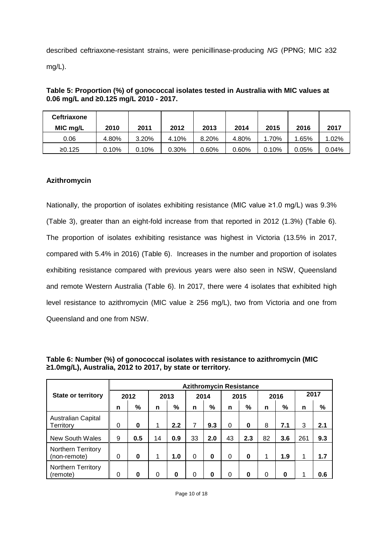described ceftriaxone-resistant strains, were penicillinase-producing *NG* (PPNG; MIC ≥32 mg/L).

### **Table 5: Proportion (%) of gonococcal isolates tested in Australia with MIC values at 0.06 mg/L and ≥0.125 mg/L 2010 - 2017.**

| <b>Ceftriaxone</b><br>MIC mg/L | 2010  | 2011  | 2012  | 2013  | 2014  | 2015     | 2016  | 2017     |
|--------------------------------|-------|-------|-------|-------|-------|----------|-------|----------|
| 0.06                           | 4.80% | 3.20% | 4.10% | 8.20% | 4.80% | 1.70%    | 1.65% | 1.02%    |
| ≥0.125                         | 0.10% | 0.10% | 0.30% | 0.60% | 0.60% | $0.10\%$ | 0.05% | $0.04\%$ |

# **Azithromycin**

Nationally, the proportion of isolates exhibiting resistance (MIC value ≥1.0 mg/L) was 9.3% (Table 3), greater than an eight-fold increase from that reported in 2012 (1.3%) (Table 6). The proportion of isolates exhibiting resistance was highest in Victoria (13.5% in 2017, compared with 5.4% in 2016) (Table 6). Increases in the number and proportion of isolates exhibiting resistance compared with previous years were also seen in NSW, Queensland and remote Western Australia (Table 6). In 2017, there were 4 isolates that exhibited high level resistance to azithromycin (MIC value  $\geq$  256 mg/L), two from Victoria and one from Queensland and one from NSW.

|                                           | <b>Azithromycin Resistance</b> |          |          |     |          |     |          |     |          |     |      |     |
|-------------------------------------------|--------------------------------|----------|----------|-----|----------|-----|----------|-----|----------|-----|------|-----|
| <b>State or territory</b>                 | 2012                           |          | 2013     |     | 2014     |     | 2015     |     | 2016     |     | 2017 |     |
|                                           | n                              | %        | n        | %   | n        | %   | n        | %   | n        | %   | n    | %   |
| <b>Australian Capital</b><br>Territory    | 0                              | $\bf{0}$ | 1        | 2.2 | 7        | 9.3 | $\Omega$ | 0   | 8        | 7.1 | 3    | 2.1 |
| <b>New South Wales</b>                    | 9                              | 0.5      | 14       | 0.9 | 33       | 2.0 | 43       | 2.3 | 82       | 3.6 | 261  | 9.3 |
| <b>Northern Territory</b><br>(non-remote) | 0                              | 0        | 1        | 1.0 | $\Omega$ | 0   | $\Omega$ | 0   |          | 1.9 |      | 1.7 |
| <b>Northern Territory</b><br>(remote)     | 0                              | 0        | $\Omega$ | 0   | 0        | 0   | $\Omega$ | 0   | $\Omega$ | 0   |      | 0.6 |

**Table 6: Number (%) of gonococcal isolates with resistance to azithromycin (MIC ≥1.0mg/L), Australia, 2012 to 2017, by state or territory.**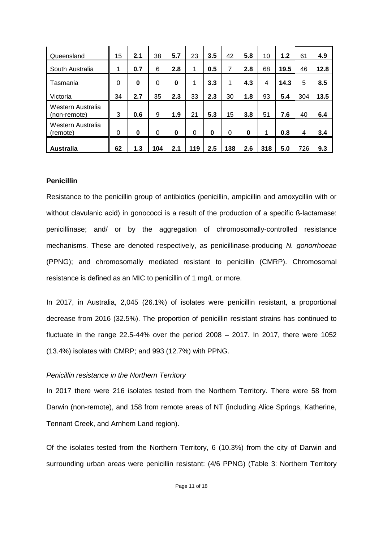| Queensland                        | 15       | 2.1      | 38       | 5.7      | 23       | 3.5      | 42  | 5.8      | 10  | 1.2  | 61  | 4.9  |
|-----------------------------------|----------|----------|----------|----------|----------|----------|-----|----------|-----|------|-----|------|
| South Australia                   | 1        | 0.7      | 6        | 2.8      | 1        | 0.5      | 7   | 2.8      | 68  | 19.5 | 46  | 12.8 |
| Tasmania                          | 0        | 0        | $\Omega$ | 0        | 1        | 3.3      | 1   | 4.3      | 4   | 14.3 | 5   | 8.5  |
| Victoria                          | 34       | 2.7      | 35       | 2.3      | 33       | 2.3      | 30  | 1.8      | 93  | 5.4  | 304 | 13.5 |
| Western Australia<br>(non-remote) | 3        | 0.6      | 9        | 1.9      | 21       | 5.3      | 15  | 3.8      | 51  | 7.6  | 40  | 6.4  |
| Western Australia<br>(remote)     | $\Omega$ | $\bf{0}$ | $\Omega$ | $\bf{0}$ | $\Omega$ | $\bf{0}$ | 0   | $\bf{0}$ | 1   | 0.8  | 4   | 3.4  |
| <b>Australia</b>                  | 62       | 1.3      | 104      | 2.1      | 119      | 2.5      | 138 | 2.6      | 318 | 5.0  | 726 | 9.3  |

#### **Penicillin**

Resistance to the penicillin group of antibiotics (penicillin, ampicillin and amoxycillin with or without clavulanic acid) in gonococci is a result of the production of a specific ß-lactamase: penicillinase; and/ or by the aggregation of chromosomally-controlled resistance mechanisms. These are denoted respectively, as penicillinase-producing *N. gonorrhoeae* (PPNG); and chromosomally mediated resistant to penicillin (CMRP). Chromosomal resistance is defined as an MIC to penicillin of 1 mg/L or more.

In 2017, in Australia, 2,045 (26.1%) of isolates were penicillin resistant, a proportional decrease from 2016 (32.5%). The proportion of penicillin resistant strains has continued to fluctuate in the range 22.5-44% over the period 2008 – 2017. In 2017, there were 1052 (13.4%) isolates with CMRP; and 993 (12.7%) with PPNG.

### *Penicillin resistance in the Northern Territory*

In 2017 there were 216 isolates tested from the Northern Territory. There were 58 from Darwin (non-remote), and 158 from remote areas of NT (including Alice Springs, Katherine, Tennant Creek, and Arnhem Land region).

Of the isolates tested from the Northern Territory, 6 (10.3%) from the city of Darwin and surrounding urban areas were penicillin resistant: (4/6 PPNG) (Table 3: Northern Territory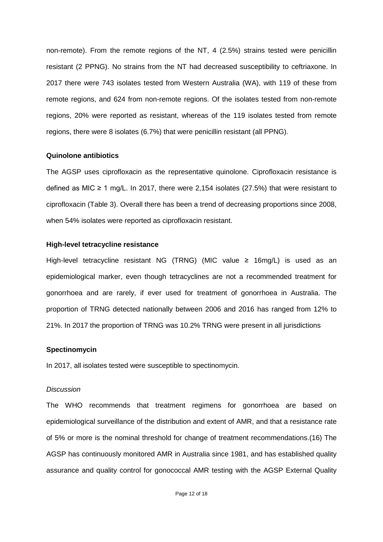non-remote). From the remote regions of the NT, 4 (2.5%) strains tested were penicillin resistant (2 PPNG). No strains from the NT had decreased susceptibility to ceftriaxone. In 2017 there were 743 isolates tested from Western Australia (WA), with 119 of these from remote regions, and 624 from non-remote regions. Of the isolates tested from non-remote regions, 20% were reported as resistant, whereas of the 119 isolates tested from remote regions, there were 8 isolates (6.7%) that were penicillin resistant (all PPNG).

#### **Quinolone antibiotics**

The AGSP uses ciprofloxacin as the representative quinolone. Ciprofloxacin resistance is defined as MIC  $\geq$  1 mg/L. In 2017, there were 2,154 isolates (27.5%) that were resistant to ciprofloxacin (Table 3). Overall there has been a trend of decreasing proportions since 2008, when 54% isolates were reported as ciprofloxacin resistant.

#### **High-level tetracycline resistance**

High-level tetracycline resistant NG (TRNG) (MIC value ≥ 16mg/L) is used as an epidemiological marker, even though tetracyclines are not a recommended treatment for gonorrhoea and are rarely, if ever used for treatment of gonorrhoea in Australia. The proportion of TRNG detected nationally between 2006 and 2016 has ranged from 12% to 21%. In 2017 the proportion of TRNG was 10.2% TRNG were present in all jurisdictions

#### **Spectinomycin**

In 2017, all isolates tested were susceptible to spectinomycin.

#### *Discussion*

The WHO recommends that treatment regimens for gonorrhoea are based on epidemiological surveillance of the distribution and extent of AMR, and that a resistance rate of 5% or more is the nominal threshold for change of treatment recommendations.(16) The AGSP has continuously monitored AMR in Australia since 1981, and has established quality assurance and quality control for gonococcal AMR testing with the AGSP External Quality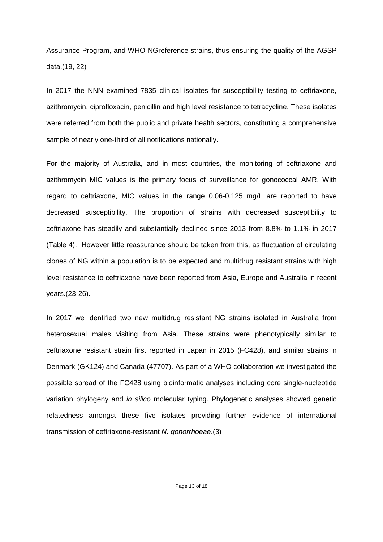Assurance Program, and WHO NGreference strains, thus ensuring the quality of the AGSP data.(19, 22)

In 2017 the NNN examined 7835 clinical isolates for susceptibility testing to ceftriaxone, azithromycin, ciprofloxacin, penicillin and high level resistance to tetracycline. These isolates were referred from both the public and private health sectors, constituting a comprehensive sample of nearly one-third of all notifications nationally.

For the majority of Australia, and in most countries, the monitoring of ceftriaxone and azithromycin MIC values is the primary focus of surveillance for gonococcal AMR. With regard to ceftriaxone, MIC values in the range 0.06-0.125 mg/L are reported to have decreased susceptibility. The proportion of strains with decreased susceptibility to ceftriaxone has steadily and substantially declined since 2013 from 8.8% to 1.1% in 2017 (Table 4). However little reassurance should be taken from this, as fluctuation of circulating clones of NG within a population is to be expected and multidrug resistant strains with high level resistance to ceftriaxone have been reported from Asia, Europe and Australia in recent years.(23-26).

In 2017 we identified two new multidrug resistant NG strains isolated in Australia from heterosexual males visiting from Asia. These strains were phenotypically similar to ceftriaxone resistant strain first reported in Japan in 2015 (FC428), and similar strains in Denmark (GK124) and Canada (47707). As part of a WHO collaboration we investigated the possible spread of the FC428 using bioinformatic analyses including core single-nucleotide variation phylogeny and *in silico* molecular typing. Phylogenetic analyses showed genetic relatedness amongst these five isolates providing further evidence of international transmission of ceftriaxone-resistant *N. gonorrhoeae*.(3)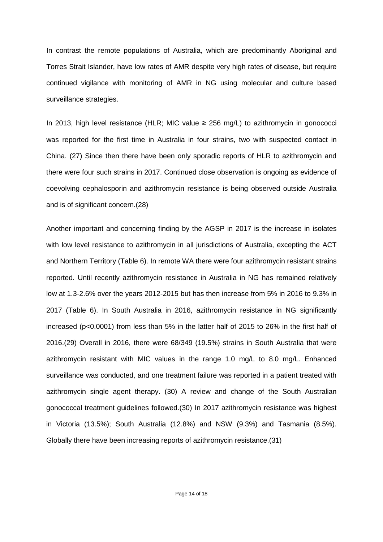In contrast the remote populations of Australia, which are predominantly Aboriginal and Torres Strait Islander, have low rates of AMR despite very high rates of disease, but require continued vigilance with monitoring of AMR in NG using molecular and culture based surveillance strategies.

In 2013, high level resistance (HLR; MIC value  $\geq$  256 mg/L) to azithromycin in gonococci was reported for the first time in Australia in four strains, two with suspected contact in China. (27) Since then there have been only sporadic reports of HLR to azithromycin and there were four such strains in 2017. Continued close observation is ongoing as evidence of coevolving cephalosporin and azithromycin resistance is being observed outside Australia and is of significant concern.(28)

Another important and concerning finding by the AGSP in 2017 is the increase in isolates with low level resistance to azithromycin in all jurisdictions of Australia, excepting the ACT and Northern Territory (Table 6). In remote WA there were four azithromycin resistant strains reported. Until recently azithromycin resistance in Australia in NG has remained relatively low at 1.3-2.6% over the years 2012-2015 but has then increase from 5% in 2016 to 9.3% in 2017 (Table 6). In South Australia in 2016, azithromycin resistance in NG significantly increased (p<0.0001) from less than 5% in the latter half of 2015 to 26% in the first half of 2016.(29) Overall in 2016, there were 68/349 (19.5%) strains in South Australia that were azithromycin resistant with MIC values in the range 1.0 mg/L to 8.0 mg/L. Enhanced surveillance was conducted, and one treatment failure was reported in a patient treated with azithromycin single agent therapy. (30) A review and change of the South Australian gonococcal treatment guidelines followed.(30) In 2017 azithromycin resistance was highest in Victoria (13.5%); South Australia (12.8%) and NSW (9.3%) and Tasmania (8.5%). Globally there have been increasing reports of azithromycin resistance.(31)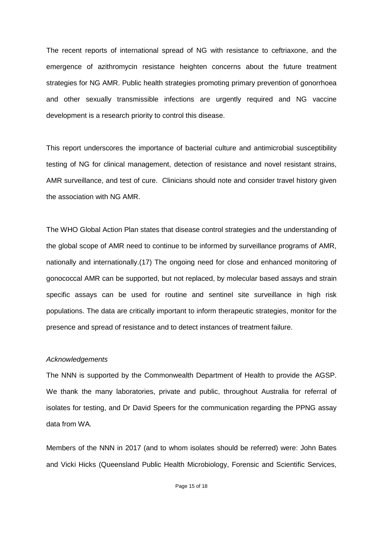The recent reports of international spread of NG with resistance to ceftriaxone, and the emergence of azithromycin resistance heighten concerns about the future treatment strategies for NG AMR. Public health strategies promoting primary prevention of gonorrhoea and other sexually transmissible infections are urgently required and NG vaccine development is a research priority to control this disease.

This report underscores the importance of bacterial culture and antimicrobial susceptibility testing of NG for clinical management, detection of resistance and novel resistant strains, AMR surveillance, and test of cure. Clinicians should note and consider travel history given the association with NG AMR.

The WHO Global Action Plan states that disease control strategies and the understanding of the global scope of AMR need to continue to be informed by surveillance programs of AMR, nationally and internationally.(17) The ongoing need for close and enhanced monitoring of gonococcal AMR can be supported, but not replaced, by molecular based assays and strain specific assays can be used for routine and sentinel site surveillance in high risk populations. The data are critically important to inform therapeutic strategies, monitor for the presence and spread of resistance and to detect instances of treatment failure.

#### *Acknowledgements*

The NNN is supported by the Commonwealth Department of Health to provide the AGSP. We thank the many laboratories, private and public, throughout Australia for referral of isolates for testing, and Dr David Speers for the communication regarding the PPNG assay data from WA.

Members of the NNN in 2017 (and to whom isolates should be referred) were: John Bates and Vicki Hicks (Queensland Public Health Microbiology, Forensic and Scientific Services,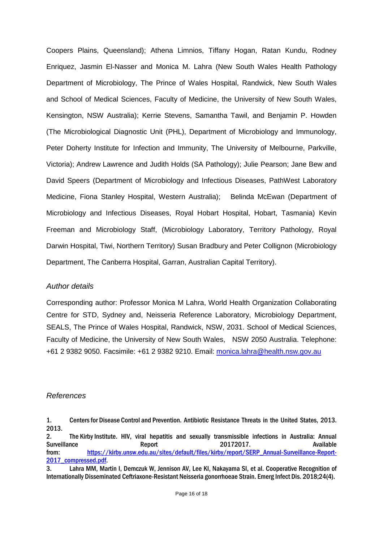Coopers Plains, Queensland); Athena Limnios, Tiffany Hogan, Ratan Kundu, Rodney Enriquez, Jasmin El-Nasser and Monica M. Lahra (New South Wales Health Pathology Department of Microbiology, The Prince of Wales Hospital, Randwick, New South Wales and School of Medical Sciences, Faculty of Medicine, the University of New South Wales, Kensington, NSW Australia); Kerrie Stevens, Samantha Tawil, and Benjamin P. Howden (The Microbiological Diagnostic Unit (PHL), Department of Microbiology and Immunology, Peter Doherty Institute for Infection and Immunity, The University of Melbourne, Parkville, Victoria); Andrew Lawrence and Judith Holds (SA Pathology); Julie Pearson; Jane Bew and David Speers (Department of Microbiology and Infectious Diseases, PathWest Laboratory Medicine, Fiona Stanley Hospital, Western Australia); Belinda McEwan (Department of Microbiology and Infectious Diseases, Royal Hobart Hospital, Hobart, Tasmania) Kevin Freeman and Microbiology Staff, (Microbiology Laboratory, Territory Pathology, Royal Darwin Hospital, Tiwi, Northern Territory) Susan Bradbury and Peter Collignon (Microbiology Department, The Canberra Hospital, Garran, Australian Capital Territory).

### *Author details*

Corresponding author: Professor Monica M Lahra, World Health Organization Collaborating Centre for STD, Sydney and, Neisseria Reference Laboratory, Microbiology Department, SEALS, The Prince of Wales Hospital, Randwick, NSW, 2031. School of Medical Sciences, Faculty of Medicine, the University of New South Wales, NSW 2050 Australia. Telephone: +61 2 9382 9050. Facsimile: +61 2 9382 9210. Email: [monica.lahra@health.nsw.gov.au](mailto:monica.lahra@health.nsw.gov.au)

# *References*

2. The Kirby Institute. HIV, viral hepatitis and sexually transmissible infections in Australia: Annual Surveillance **Report** Report 20172017. from: [https://kirby.unsw.edu.au/sites/default/files/kirby/report/SERP\\_Annual-Surveillance-Report-](https://kirby.unsw.edu.au/sites/default/files/kirby/report/SERP_Annual-Surveillance-Report-2017_compressed.pdf)[2017\\_compressed.pdf.](https://kirby.unsw.edu.au/sites/default/files/kirby/report/SERP_Annual-Surveillance-Report-2017_compressed.pdf)

<sup>1.</sup> Centersfor Disease Control and Prevention. Antibiotic Resistance Threats in the United States, 2013. 2013.

<sup>3.</sup> Lahra MM, Martin I, Demczuk W, Jennison AV, Lee KI, Nakayama SI, et al. Cooperative Recognition of Internationally Disseminated Ceftriaxone-Resistant Neisseria gonorrhoeae Strain. Emerg Infect Dis. 2018;24(4).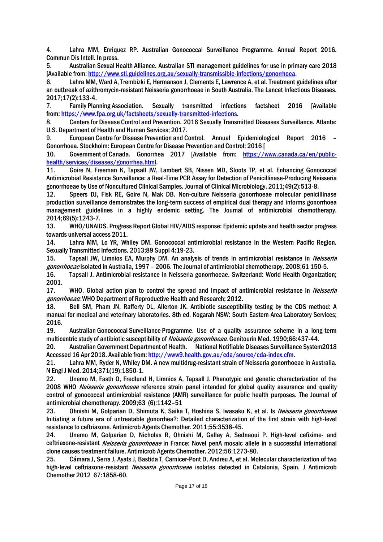4. Lahra MM, Enriquez RP. Australian Gonococcal Surveillance Programme. Annual Report 2016. Commun Dis Intell. In press.

5. Australian Sexual Health Alliance. Australian STI management guidelines for use in primary care 2018 [Available from: [http://www.sti.guidelines.org.au/sexually-transmissible-infections/gonorrhoea.](http://www.sti.guidelines.org.au/sexually-transmissible-infections/gonorrhoea)

6. Lahra MM, Ward A, Trembizki E, Hermanson J, Clements E, Lawrence A, et al. Treatment guidelines after an outbreak of azithromycin-resistant Neisseria gonorrhoeae in South Australia. The Lancet Infectious Diseases. 2017;17(2):133-4.

7. Family Planning Association. Sexually transmitted infections factsheet 2016 [Available from[: https://www.fpa.org.uk/factsheets/sexually-transmitted-infections.](https://www.fpa.org.uk/factsheets/sexually-transmitted-infections)

8. Centersfor Disease Control and Prevention. 2016 Sexually Transmitted Diseases Surveillance. Atlanta: U.S. Department of Health and Human Services; 2017.

9. European Centre for Disease Prevention and Control. Annual Epidemiological Report 2016 – Gonorrhoea. Stockholm: European Centre for Disease Prevention and Control; 2016 [

10. Government of Canada. Gonorrhea 2017 [Available from: [https://www.canada.ca/en/public](https://www.canada.ca/en/public-health/services/diseases/gonorrhea.html)[health/services/diseases/gonorrhea.html.](https://www.canada.ca/en/public-health/services/diseases/gonorrhea.html)

11. Goire N, Freeman K, Tapsall JW, Lambert SB, Nissen MD, Sloots TP, et al. Enhancing Gonococcal Antimicrobial Resistance Surveillance: a Real-Time PCR Assay for Detection of Penicillinase-Producing Neisseria gonorrhoeae by Use of Noncultured Clinical Samples. Journal of Clinical Microbiology. 2011;49(2):513-8.

12. Speers DJ, Fisk RE, Goire N, Mak DB. Non-culture Neisseria gonorrhoeae molecular penicillinase production surveillance demonstrates the long-term success of empirical dual therapy and informs gonorrhoea management guidelines in a highly endemic setting. The Journal of antimicrobial chemotherapy. 2014;69(5):1243-7.

13. WHO/UNAIDS. Progress Report Global HIV/AIDS response: Epidemic update and health sector progress towards universal access 2011.

14. Lahra MM, Lo YR, Whiley DM. Gonococcal antimicrobial resistance in the Western Pacific Region. Sexually Transmitted Infections. 2013;89 Suppl 4:19-23.

15. Tapsall JW, Limnios EA, Murphy DM. An analysis of trends in antimicrobial resistance in *Neisseria* gonorrhoeae isolated in Australia, 1997 – 2006. The Journal of antimicrobial chemotherapy. 2008;61 150-5.

16. Tapsall J. Antimicrobial resistance in Neisseria gonorrhoeae. Switzerland: World Health Organization; 2001.

17. WHO. Global action plan to control the spread and impact of antimicrobial resistance in *Neisseria* gonorrhoeae: WHO Department of Reproductive Health and Research; 2012.

18. Bell SM, Pham JN, Rafferty DL, Allerton JK. Antibiotic susceptibility testing by the CDS method: A manual for medical and veterinary laboratories. 8th ed. Kogarah NSW: South Eastern Area Laboratory Services; 2016.

19. Australian Gonococcal Surveillance Programme. Use of a quality assurance scheme in a long-term multicentric study of antibiotic susceptibility of Neisseria gonorrhoeae. Genitourin Med. 1990;66:437-44.

20. Australian Government Department of Health. National Notifiable Diseases Surveillance System2018 Accessed 16 Apr 2018. Available from[: http://www9.health.gov.au/cda/source/cda-index.cfm.](http://www9.health.gov.au/cda/source/cda-index.cfm)

21. Lahra MM, Ryder N, Whiley DM. A new multidrug-resistant strain of Neisseria gonorrhoeae in Australia. N Engl J Med. 2014;371(19):1850-1.

22. Unemo M, Fasth O, Fredlund H, Limnios A, Tapsall J. Phenotypic and genetic characterization of the 2008 WHO Neisseria gonorrhoeae reference strain panel intended for global quality assurance and quality control of gonococcal antimicrobial resistance (AMR) surveillance for public health purposes. The Journal of antimicrobial chemotherapy. 2009;63 (6):1142–51

23. Ohnishi M, Golparian D, Shimuta K, Saika T, Hoshina S, Iwasaku K, et al. Is Neisseria gonorrhoeae Initiating a future era of untreatable gonorrhea?: Detailed characterization of the first strain with high-level resistance to ceftriaxone. Antimicrob Agents Chemother. 2011;55:3538-45.

24. Unemo M, Golparian D, Nicholas R, Ohnishi M, Gallay A, Sednaoui P. High-level cefixime- and ceftriaxone-resistant Neisseria gonorrhoeae in France: Novel penA mosaic allele in a successful international clone causes treatment failure. Antimicrob Agents Chemother. 2012;56:1273-80.

25. Cámara J, Serra J, Ayats J, Bastida T, Carnicer-Pont D, Andreu A, et al. Molecular characterization of two high-level ceftriaxone-resistant Neisseria gonorrhoeae isolates detected in Catalonia, Spain. J Antimicrob Chemother 2012 67:1858-60.